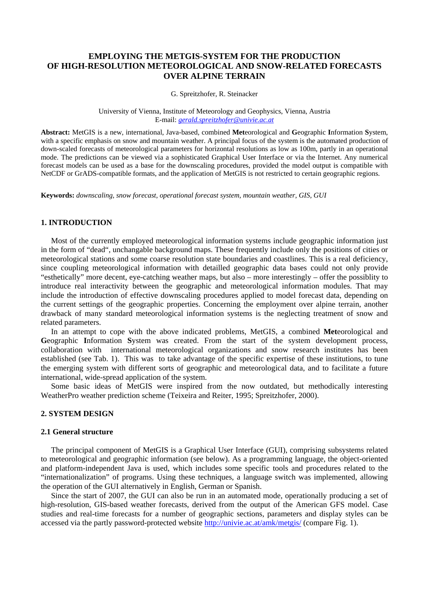# **EMPLOYING THE METGIS-SYSTEM FOR THE PRODUCTION OF HIGH-RESOLUTION METEOROLOGICAL AND SNOW-RELATED FORECASTS OVER ALPINE TERRAIN**

G. Spreitzhofer, R. Steinacker

University of Vienna, Institute of Meteorology and Geophysics, Vienna, Austria E-mail: *gerald.spreitzhofer@univie.ac.at*

**Abstract:** MetGIS is a new, international, Java-based, combined **Met**eorological and **G**eographic **I**nformation **S**ystem, with a specific emphasis on snow and mountain weather. A principal focus of the system is the automated production of down-scaled forecasts of meteorological parameters for horizontal resolutions as low as 100m, partly in an operational mode. The predictions can be viewed via a sophisticated Graphical User Interface or via the Internet. Any numerical forecast models can be used as a base for the downscaling procedures, provided the model output is compatible with NetCDF or GrADS-compatible formats, and the application of MetGIS is not restricted to certain geographic regions.

**Keywords:** *downscaling, snow forecast, operational forecast system, mountain weather, GIS, GUI*

## **1. INTRODUCTION**

Most of the currently employed meteorological information systems include geographic information just in the form of "dead", unchangable background maps. These frequently include only the positions of cities or meteorological stations and some coarse resolution state boundaries and coastlines. This is a real deficiency, since coupling meteorological information with detailled geographic data bases could not only provide "esthetically" more decent, eye-catching weather maps, but also – more interestingly – offer the possiblity to introduce real interactivity between the geographic and meteorological information modules. That may include the introduction of effective downscaling procedures applied to model forecast data, depending on the current settings of the geographic properties. Concerning the employment over alpine terrain, another drawback of many standard meteorological information systems is the neglecting treatment of snow and related parameters.

In an attempt to cope with the above indicated problems, MetGIS, a combined **Met**eorological and Geographic Information System was created. From the start of the system development process, collaboration with international meteorological organizations and snow research institutes has been established (see Tab. 1). This was to take advantage of the specific expertise of these institutions, to tune the emerging system with different sorts of geographic and meteorological data, and to facilitate a future international, wide-spread application of the system.

Some basic ideas of MetGIS were inspired from the now outdated, but methodically interesting WeatherPro weather prediction scheme (Teixeira and Reiter, 1995; Spreitzhofer, 2000).

# **2. SYSTEM DESIGN**

#### **2.1 General structure**

The principal component of MetGIS is a Graphical User Interface (GUI), comprising subsystems related to meteorological and geographic information (see below). As a programming language, the object-oriented and platform-independent Java is used, which includes some specific tools and procedures related to the "internationalization" of programs. Using these techniques, a language switch was implemented, allowing the operation of the GUI alternatively in English, German or Spanish.

Since the start of 2007, the GUI can also be run in an automated mode, operationally producing a set of high-resolution, GIS-based weather forecasts, derived from the output of the American GFS model. Case studies and real-time forecasts for a number of geographic sections, parameters and display styles can be accessed via the partly password-protected website http://univie.ac.at/amk/metgis/ (compare Fig. 1).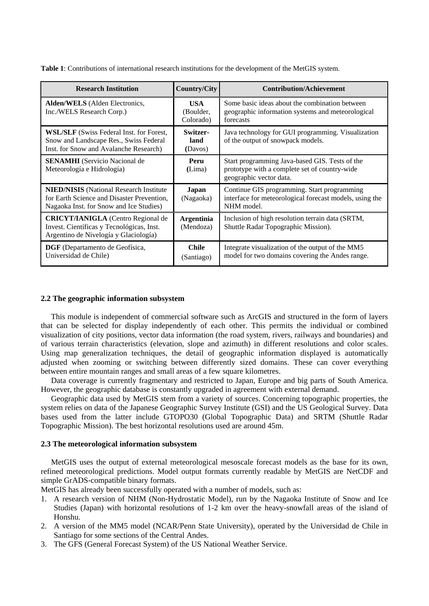| <b>Table 1:</b> Contributions of international research institutions for the development of the MetGIS system. |
|----------------------------------------------------------------------------------------------------------------|
|----------------------------------------------------------------------------------------------------------------|

| <b>Research Institution</b>                                                                                                              | <b>Country/City</b>            | <b>Contribution/Achievement</b>                                                                                            |
|------------------------------------------------------------------------------------------------------------------------------------------|--------------------------------|----------------------------------------------------------------------------------------------------------------------------|
| Alden/WELS (Alden Electronics,<br>Inc./WELS Research Corp.)                                                                              | USA<br>(Boulder,<br>Colorado)  | Some basic ideas about the combination between<br>geographic information systems and meteorological<br>forecasts           |
| <b>WSL/SLF</b> (Swiss Federal Inst. for Forest,<br>Snow and Landscape Res., Swiss Federal<br>Inst. for Snow and Avalanche Research)      | Switzer-<br>land<br>(Davos)    | Java technology for GUI programming. Visualization<br>of the output of snowpack models.                                    |
| <b>SENAMHI</b> (Servicio Nacional de<br>Meteorología e Hidrología)                                                                       | Peru<br>(Lima)                 | Start programming Java-based GIS. Tests of the<br>prototype with a complete set of country-wide<br>geographic vector data. |
| <b>NIED/NISIS</b> (National Research Institute)<br>for Earth Science and Disaster Prevention,<br>Nagaoka Inst. for Snow and Ice Studies) | Japan<br>(Nagaoka)             | Continue GIS programming. Start programming<br>interface for meteorological forecast models, using the<br>NHM model.       |
| <b>CRICYT/IANIGLA</b> (Centro Regional de<br>Invest. Científicas y Tecnológicas, Inst.<br>Argentino de Nivelogía y Glaciología)          | <b>Argentinia</b><br>(Mendoza) | Inclusion of high resolution terrain data (SRTM,<br>Shuttle Radar Topographic Mission).                                    |
| DGF (Departamento de Geofísica,<br>Universidad de Chile)                                                                                 | <b>Chile</b><br>(Santiago)     | Integrate visualization of the output of the MM5<br>model for two domains covering the Andes range.                        |

# **2.2 The geographic information subsystem**

This module is independent of commercial software such as ArcGIS and structured in the form of layers that can be selected for display independently of each other. This permits the individual or combined visualization of city positions, vector data information (the road system, rivers, railways and boundaries) and of various terrain characteristics (elevation, slope and azimuth) in different resolutions and color scales. Using map generalization techniques, the detail of geographic information displayed is automatically adjusted when zooming or switching between differently sized domains. These can cover everything between entire mountain ranges and small areas of a few square kilometres.

Data coverage is currently fragmentary and restricted to Japan, Europe and big parts of South America. However, the geographic database is constantly upgraded in agreement with external demand.

Geographic data used by MetGIS stem from a variety of sources. Concerning topographic properties, the system relies on data of the Japanese Geographic Survey Institute (GSI) and the US Geological Survey. Data bases used from the latter include GTOPO30 (Global Topographic Data) and SRTM (Shuttle Radar Topographic Mission). The best horizontal resolutions used are around 45m.

## **2.3 The meteorological information subsystem**

MetGIS uses the output of external meteorological mesoscale forecast models as the base for its own, refined meteorological predictions. Model output formats currently readable by MetGIS are NetCDF and simple GrADS-compatible binary formats.

MetGIS has already been successfully operated with a number of models, such as:

- 1. A research version of NHM (Non-Hydrostatic Model), run by the Nagaoka Institute of Snow and Ice Studies (Japan) with horizontal resolutions of 1-2 km over the heavy-snowfall areas of the island of Honshu.
- 2. A version of the MM5 model (NCAR/Penn State University), operated by the Universidad de Chile in Santiago for some sections of the Central Andes.
- 3. The GFS (General Forecast System) of the US National Weather Service.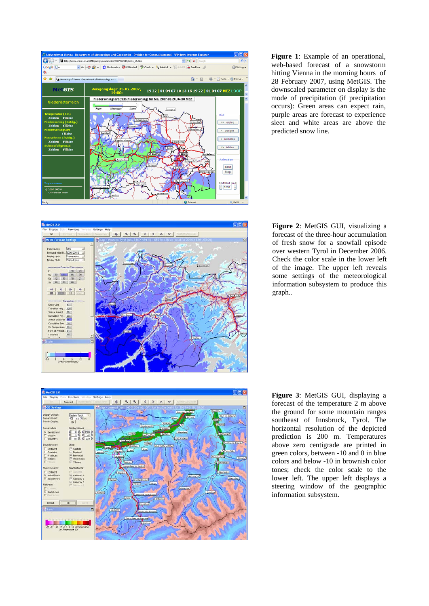

**Figure 1**: Example of an operational, web-based forecast of a snowstorm hitting Vienna in the morning hours of 28 February 2007, using MetGIS. The downscaled parameter on display is the mode of precipitation (if precipitation occurs): Green areas can expect rain, purple areas are forecast to experience sleet and white areas are above the predicted snow line.



**Figure 2**: MetGIS GUI, visualizing a forecast of the three-hour accumulation of fresh snow for a snowfall episode over western Tyrol in December 2006. Check the color scale in the lower left of the image. The upper left reveals some settings of the meteorological information subsystem to produce this graph..



**Figure 3**: MetGIS GUI, displaying a forecast of the temperature 2 m above the ground for some mountain ranges southeast of Innsbruck, Tyrol. The horizontal resolution of the depicted prediction is 200 m. Temperatures above zero centigrade are printed in green colors, between -10 and 0 in blue colors and below -10 in brownish color tones; check the color scale to the lower left. The upper left displays a steering window of the geographic information subsystem.